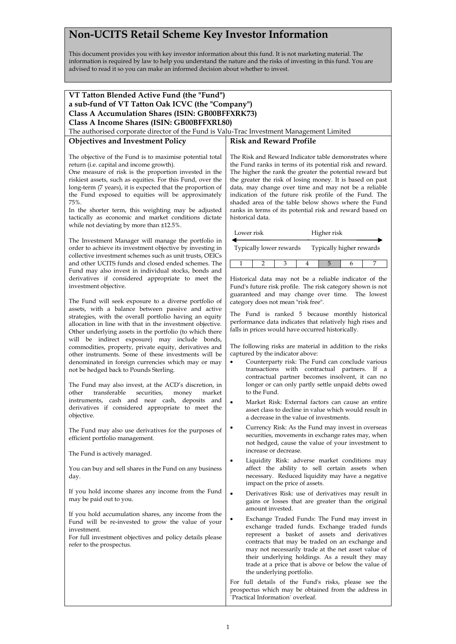## **Non-UCITS Retail Scheme Key Investor Information**

This document provides you with key investor information about this fund. It is not marketing material. The information is required by law to help you understand the nature and the risks of investing in this fund. You are advised to read it so you can make an informed decision about whether to invest.

| VT Tatton Blended Active Fund (the "Fund")                                                                            |                                                                                                               |
|-----------------------------------------------------------------------------------------------------------------------|---------------------------------------------------------------------------------------------------------------|
| a sub-fund of VT Tatton Oak ICVC (the "Company")                                                                      |                                                                                                               |
| Class A Accumulation Shares (ISIN: GB00BFFXRK73)                                                                      |                                                                                                               |
| Class A Income Shares (ISIN: GB00BFFXRL80)                                                                            |                                                                                                               |
| The authorised corporate director of the Fund is Valu-Trac Investment Management Limited                              |                                                                                                               |
| <b>Objectives and Investment Policy</b>                                                                               | <b>Risk and Reward Profile</b>                                                                                |
|                                                                                                                       |                                                                                                               |
| The objective of the Fund is to maximise potential total                                                              | The Risk and Reward Indicator table demonstrates where                                                        |
| return (i.e. capital and income growth).                                                                              | the Fund ranks in terms of its potential risk and reward.                                                     |
| One measure of risk is the proportion invested in the                                                                 | The higher the rank the greater the potential reward but                                                      |
| riskiest assets, such as equities. For this Fund, over the                                                            | the greater the risk of losing money. It is based on past                                                     |
| long-term (7 years), it is expected that the proportion of                                                            | data, may change over time and may not be a reliable                                                          |
| the Fund exposed to equities will be approximately<br>75%.                                                            | indication of the future risk profile of the Fund. The<br>shaded area of the table below shows where the Fund |
| In the shorter term, this weighting may be adjusted                                                                   | ranks in terms of its potential risk and reward based on                                                      |
| tactically as economic and market conditions dictate                                                                  | historical data.                                                                                              |
| while not deviating by more than ±12.5%.                                                                              |                                                                                                               |
|                                                                                                                       | Lower risk<br>Higher risk                                                                                     |
| The Investment Manager will manage the portfolio in                                                                   |                                                                                                               |
| order to achieve its investment objective by investing in<br>collective investment schemes such as unit trusts, OEICs | Typically lower rewards<br>Typically higher rewards                                                           |
| and other UCITS funds and closed ended schemes. The                                                                   | 5<br>7<br>1<br>2<br>3<br>4<br>6                                                                               |
| Fund may also invest in individual stocks, bonds and                                                                  |                                                                                                               |
| derivatives if considered appropriate to meet the                                                                     | Historical data may not be a reliable indicator of the                                                        |
| investment objective.                                                                                                 | Fund's future risk profile. The risk category shown is not                                                    |
| The Fund will seek exposure to a diverse portfolio of                                                                 | guaranteed and may change over time. The lowest                                                               |
| assets, with a balance between passive and active                                                                     | category does not mean "risk free".                                                                           |
| strategies, with the overall portfolio having an equity                                                               | The Fund is ranked 5 because monthly historical                                                               |
| allocation in line with that in the investment objective.                                                             | performance data indicates that relatively high rises and                                                     |
| Other underlying assets in the portfolio (to which there                                                              | falls in prices would have occurred historically.                                                             |
| will be indirect exposure) may include bonds,                                                                         |                                                                                                               |
| commodities, property, private equity, derivatives and<br>other instruments. Some of these investments will be        | The following risks are material in addition to the risks<br>captured by the indicator above:                 |
| denominated in foreign currencies which may or may                                                                    | Counterparty risk: The Fund can conclude various<br>$\bullet$                                                 |
| not be hedged back to Pounds Sterling.                                                                                | transactions with contractual partners. If a                                                                  |
|                                                                                                                       | contractual partner becomes insolvent, it can no                                                              |
| The Fund may also invest, at the ACD's discretion, in                                                                 | longer or can only partly settle unpaid debts owed                                                            |
| transferable<br>other<br>securities,<br>market<br>money<br>instruments, cash and near cash, deposits and              | to the Fund.                                                                                                  |
| derivatives if considered appropriate to meet the                                                                     | Market Risk: External factors can cause an entire                                                             |
| objective.                                                                                                            | asset class to decline in value which would result in<br>a decrease in the value of investments.              |
|                                                                                                                       |                                                                                                               |
| The Fund may also use derivatives for the purposes of                                                                 | Currency Risk: As the Fund may invest in overseas<br>securities, movements in exchange rates may, when        |
| efficient portfolio management.                                                                                       | not hedged, cause the value of your investment to                                                             |
| The Fund is actively managed.                                                                                         | increase or decrease.                                                                                         |
|                                                                                                                       | Liquidity Risk: adverse market conditions may<br>٠                                                            |
| You can buy and sell shares in the Fund on any business                                                               | affect the ability to sell certain assets when                                                                |
| day.                                                                                                                  | necessary. Reduced liquidity may have a negative                                                              |
|                                                                                                                       | impact on the price of assets.                                                                                |
| If you hold income shares any income from the Fund                                                                    | $\bullet$<br>Derivatives Risk: use of derivatives may result in                                               |
| may be paid out to you.                                                                                               | gains or losses that are greater than the original                                                            |
| If you hold accumulation shares, any income from the                                                                  | amount invested.                                                                                              |
| Fund will be re-invested to grow the value of your                                                                    | Exchange Traded Funds: The Fund may invest in<br>٠                                                            |
| investment.                                                                                                           | exchange traded funds. Exchange traded funds                                                                  |
| For full investment objectives and policy details please                                                              | represent a basket of assets and derivatives<br>contracts that may be traded on an exchange and               |
| refer to the prospectus.                                                                                              | may not necessarily trade at the net asset value of                                                           |
|                                                                                                                       | their underlying holdings. As a result they may                                                               |
|                                                                                                                       | trade at a price that is above or below the value of                                                          |
|                                                                                                                       | the underlying portfolio.                                                                                     |
|                                                                                                                       | For full details of the Fund's risks, please see the                                                          |
|                                                                                                                       | prospectus which may be obtained from the address in<br>`Practical Information` overleaf.                     |
|                                                                                                                       |                                                                                                               |
|                                                                                                                       |                                                                                                               |